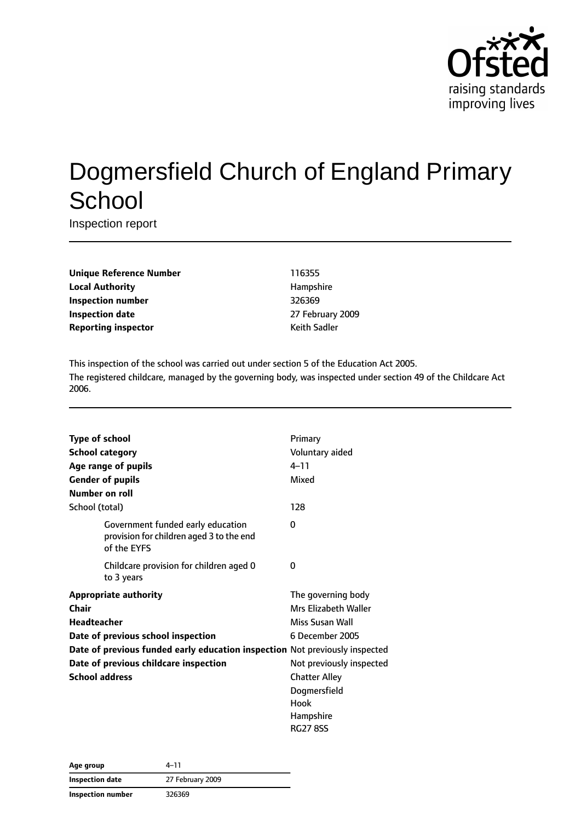

# Dogmersfield Church of England Primary **School**

Inspection report

| <b>Unique Reference Number</b> |
|--------------------------------|
| <b>Local Authority</b>         |
| <b>Inspection number</b>       |
| <b>Inspection date</b>         |
| <b>Reporting inspector</b>     |

**Unique Reference Number** 116355 **Local Authority** Hampshire **Inspection number** 326369 **Inspection date** 27 February 2009 **Keith Sadler** 

This inspection of the school was carried out under section 5 of the Education Act 2005. The registered childcare, managed by the governing body, was inspected under section 49 of the Childcare Act 2006.

| <b>Type of school</b> |                                                                                              | Primary                  |
|-----------------------|----------------------------------------------------------------------------------------------|--------------------------|
|                       | <b>School category</b>                                                                       | Voluntary aided          |
|                       | Age range of pupils                                                                          | $4 - 11$                 |
|                       | <b>Gender of pupils</b>                                                                      | Mixed                    |
| Number on roll        |                                                                                              |                          |
| School (total)        |                                                                                              | 128                      |
|                       | Government funded early education<br>provision for children aged 3 to the end<br>of the EYFS | 0                        |
|                       | Childcare provision for children aged 0<br>to 3 years                                        | 0                        |
|                       | <b>Appropriate authority</b>                                                                 | The governing body       |
| Chair                 |                                                                                              | Mrs Elizabeth Waller     |
| <b>Headteacher</b>    |                                                                                              | Miss Susan Wall          |
|                       | Date of previous school inspection                                                           | 6 December 2005          |
|                       | Date of previous funded early education inspection Not previously inspected                  |                          |
|                       | Date of previous childcare inspection                                                        | Not previously inspected |
| <b>School address</b> |                                                                                              | <b>Chatter Alley</b>     |
|                       |                                                                                              | Dogmersfield             |
|                       |                                                                                              | Hook                     |
|                       |                                                                                              | Hampshire                |
|                       |                                                                                              | <b>RG27 8SS</b>          |

| Age group                | 4–11             |
|--------------------------|------------------|
| Inspection date          | 27 February 2009 |
| <b>Inspection number</b> | 326369           |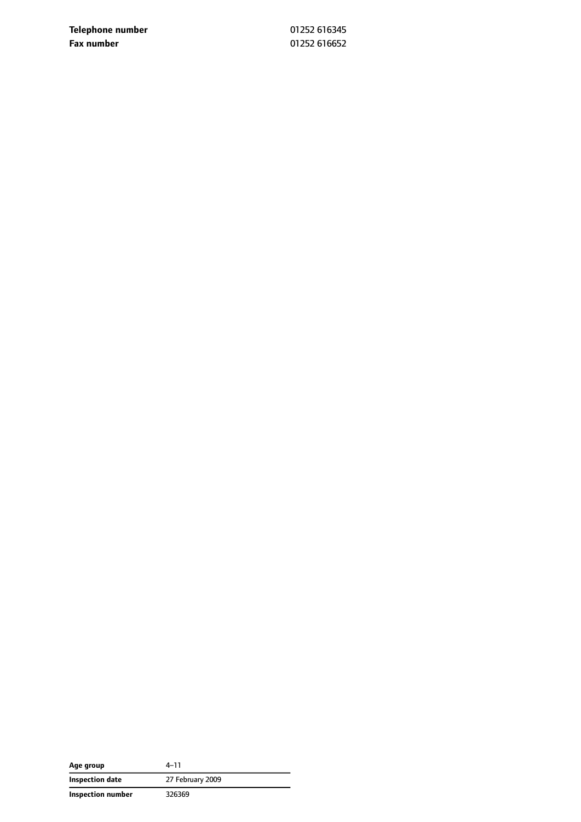**Telephone number** 01252 616345 **Fax number** 01252 616652

| Age group         | 4–11             |
|-------------------|------------------|
| Inspection date   | 27 February 2009 |
| Inspection number | 326369           |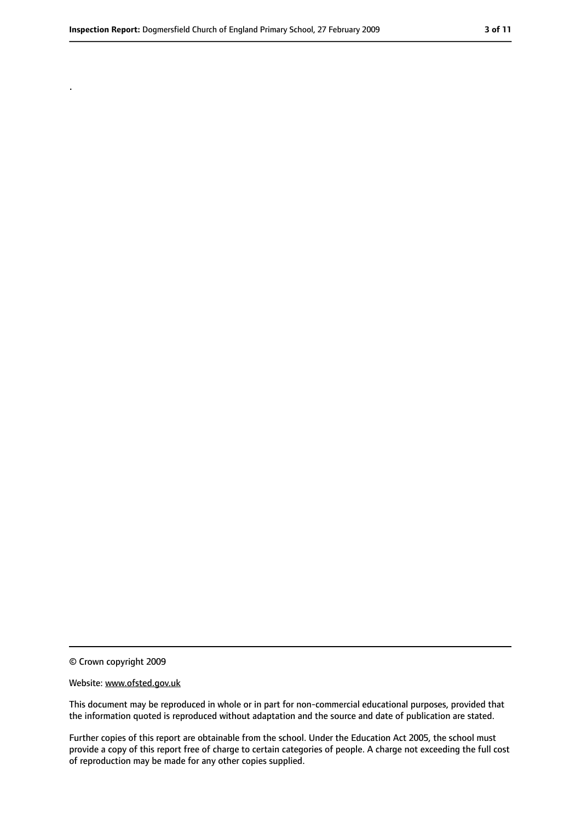.

<sup>©</sup> Crown copyright 2009

Website: www.ofsted.gov.uk

This document may be reproduced in whole or in part for non-commercial educational purposes, provided that the information quoted is reproduced without adaptation and the source and date of publication are stated.

Further copies of this report are obtainable from the school. Under the Education Act 2005, the school must provide a copy of this report free of charge to certain categories of people. A charge not exceeding the full cost of reproduction may be made for any other copies supplied.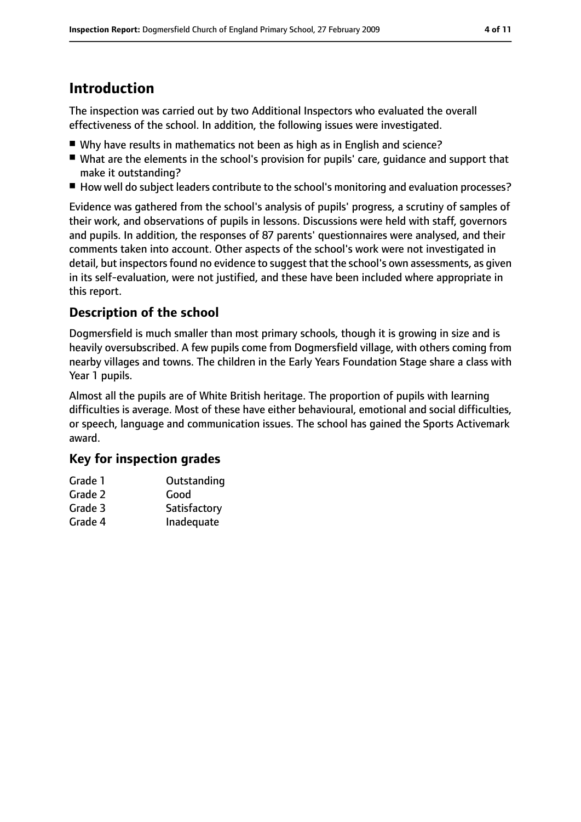# **Introduction**

The inspection was carried out by two Additional Inspectors who evaluated the overall effectiveness of the school. In addition, the following issues were investigated.

- Why have results in mathematics not been as high as in English and science?
- What are the elements in the school's provision for pupils' care, quidance and support that make it outstanding?
- How well do subject leaders contribute to the school's monitoring and evaluation processes?

Evidence was gathered from the school's analysis of pupils' progress, a scrutiny of samples of their work, and observations of pupils in lessons. Discussions were held with staff, governors and pupils. In addition, the responses of 87 parents' questionnaires were analysed, and their comments taken into account. Other aspects of the school's work were not investigated in detail, but inspectors found no evidence to suggest that the school's own assessments, as given in its self-evaluation, were not justified, and these have been included where appropriate in this report.

## **Description of the school**

Dogmersfield is much smaller than most primary schools, though it is growing in size and is heavily oversubscribed. A few pupils come from Dogmersfield village, with others coming from nearby villages and towns. The children in the Early Years Foundation Stage share a class with Year 1 pupils.

Almost all the pupils are of White British heritage. The proportion of pupils with learning difficulties is average. Most of these have either behavioural, emotional and social difficulties, or speech, language and communication issues. The school has gained the Sports Activemark award.

## **Key for inspection grades**

| Grade 1 | Outstanding  |
|---------|--------------|
| Grade 2 | Good         |
| Grade 3 | Satisfactory |
| Grade 4 | Inadequate   |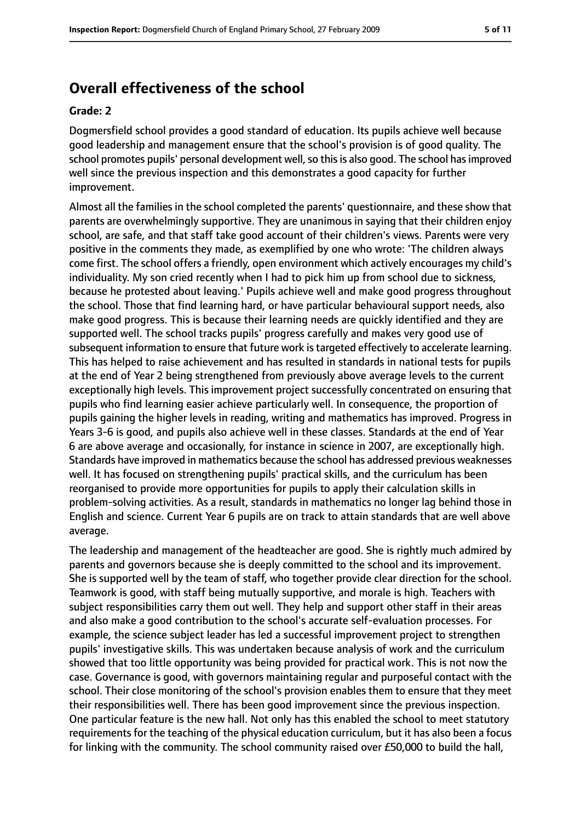## **Overall effectiveness of the school**

#### **Grade: 2**

Dogmersfield school provides a good standard of education. Its pupils achieve well because good leadership and management ensure that the school's provision is of good quality. The school promotes pupils' personal development well, so this is also good. The school has improved well since the previous inspection and this demonstrates a good capacity for further improvement.

Almost all the families in the school completed the parents' questionnaire, and these show that parents are overwhelmingly supportive. They are unanimous in saying that their children enjoy school, are safe, and that staff take good account of their children's views. Parents were very positive in the comments they made, as exemplified by one who wrote: 'The children always come first. The school offers a friendly, open environment which actively encourages my child's individuality. My son cried recently when I had to pick him up from school due to sickness, because he protested about leaving.' Pupils achieve well and make good progress throughout the school. Those that find learning hard, or have particular behavioural support needs, also make good progress. This is because their learning needs are quickly identified and they are supported well. The school tracks pupils' progress carefully and makes very good use of subsequent information to ensure that future work is targeted effectively to accelerate learning. This has helped to raise achievement and has resulted in standards in national tests for pupils at the end of Year 2 being strengthened from previously above average levels to the current exceptionally high levels. This improvement project successfully concentrated on ensuring that pupils who find learning easier achieve particularly well. In consequence, the proportion of pupils gaining the higher levels in reading, writing and mathematics has improved. Progress in Years 3-6 is good, and pupils also achieve well in these classes. Standards at the end of Year 6 are above average and occasionally, for instance in science in 2007, are exceptionally high. Standards have improved in mathematics because the school has addressed previous weaknesses well. It has focused on strengthening pupils' practical skills, and the curriculum has been reorganised to provide more opportunities for pupils to apply their calculation skills in problem-solving activities. As a result, standards in mathematics no longer lag behind those in English and science. Current Year 6 pupils are on track to attain standards that are well above average.

The leadership and management of the headteacher are good. She is rightly much admired by parents and governors because she is deeply committed to the school and its improvement. She is supported well by the team of staff, who together provide clear direction for the school. Teamwork is good, with staff being mutually supportive, and morale is high. Teachers with subject responsibilities carry them out well. They help and support other staff in their areas and also make a good contribution to the school's accurate self-evaluation processes. For example, the science subject leader has led a successful improvement project to strengthen pupils' investigative skills. This was undertaken because analysis of work and the curriculum showed that too little opportunity was being provided for practical work. This is not now the case. Governance is good, with governors maintaining regular and purposeful contact with the school. Their close monitoring of the school's provision enables them to ensure that they meet their responsibilities well. There has been good improvement since the previous inspection. One particular feature is the new hall. Not only has this enabled the school to meet statutory requirements for the teaching of the physical education curriculum, but it has also been a focus for linking with the community. The school community raised over £50,000 to build the hall,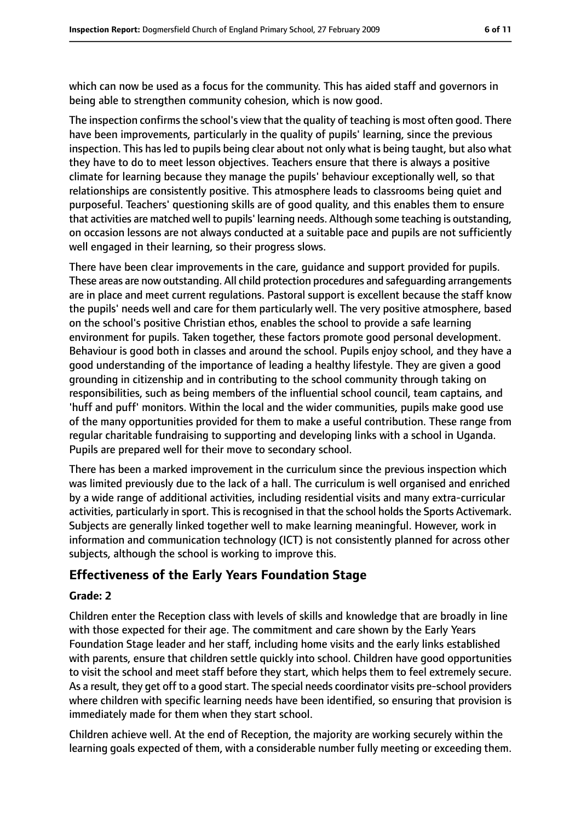which can now be used as a focus for the community. This has aided staff and governors in being able to strengthen community cohesion, which is now good.

The inspection confirms the school's view that the quality of teaching is most often good. There have been improvements, particularly in the quality of pupils' learning, since the previous inspection. This has led to pupils being clear about not only what is being taught, but also what they have to do to meet lesson objectives. Teachers ensure that there is always a positive climate for learning because they manage the pupils' behaviour exceptionally well, so that relationships are consistently positive. This atmosphere leads to classrooms being quiet and purposeful. Teachers' questioning skills are of good quality, and this enables them to ensure that activities are matched well to pupils' learning needs. Although some teaching is outstanding, on occasion lessons are not always conducted at a suitable pace and pupils are not sufficiently well engaged in their learning, so their progress slows.

There have been clear improvements in the care, guidance and support provided for pupils. These areas are now outstanding. All child protection procedures and safeguarding arrangements are in place and meet current regulations. Pastoral support is excellent because the staff know the pupils' needs well and care for them particularly well. The very positive atmosphere, based on the school's positive Christian ethos, enables the school to provide a safe learning environment for pupils. Taken together, these factors promote good personal development. Behaviour is good both in classes and around the school. Pupils enjoy school, and they have a good understanding of the importance of leading a healthy lifestyle. They are given a good grounding in citizenship and in contributing to the school community through taking on responsibilities, such as being members of the influential school council, team captains, and 'huff and puff' monitors. Within the local and the wider communities, pupils make good use of the many opportunities provided for them to make a useful contribution. These range from regular charitable fundraising to supporting and developing links with a school in Uganda. Pupils are prepared well for their move to secondary school.

There has been a marked improvement in the curriculum since the previous inspection which was limited previously due to the lack of a hall. The curriculum is well organised and enriched by a wide range of additional activities, including residential visits and many extra-curricular activities, particularly in sport. This is recognised in that the school holds the Sports Activemark. Subjects are generally linked together well to make learning meaningful. However, work in information and communication technology (ICT) is not consistently planned for across other subjects, although the school is working to improve this.

## **Effectiveness of the Early Years Foundation Stage**

#### **Grade: 2**

Children enter the Reception class with levels of skills and knowledge that are broadly in line with those expected for their age. The commitment and care shown by the Early Years Foundation Stage leader and her staff, including home visits and the early links established with parents, ensure that children settle quickly into school. Children have good opportunities to visit the school and meet staff before they start, which helps them to feel extremely secure. As a result, they get off to a good start. The special needs coordinator visits pre-school providers where children with specific learning needs have been identified, so ensuring that provision is immediately made for them when they start school.

Children achieve well. At the end of Reception, the majority are working securely within the learning goals expected of them, with a considerable number fully meeting or exceeding them.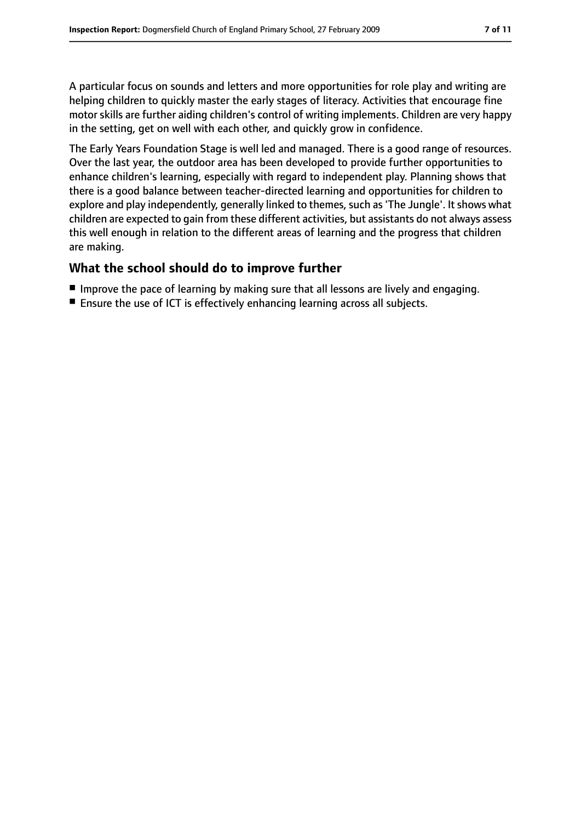A particular focus on sounds and letters and more opportunities for role play and writing are helping children to quickly master the early stages of literacy. Activities that encourage fine motor skills are further aiding children's control of writing implements. Children are very happy in the setting, get on well with each other, and quickly grow in confidence.

The Early Years Foundation Stage is well led and managed. There is a good range of resources. Over the last year, the outdoor area has been developed to provide further opportunities to enhance children's learning, especially with regard to independent play. Planning shows that there is a good balance between teacher-directed learning and opportunities for children to explore and play independently, generally linked to themes, such as 'The Jungle'. It shows what children are expected to gain from these different activities, but assistants do not always assess this well enough in relation to the different areas of learning and the progress that children are making.

#### **What the school should do to improve further**

- Improve the pace of learning by making sure that all lessons are lively and engaging.
- Ensure the use of ICT is effectively enhancing learning across all subjects.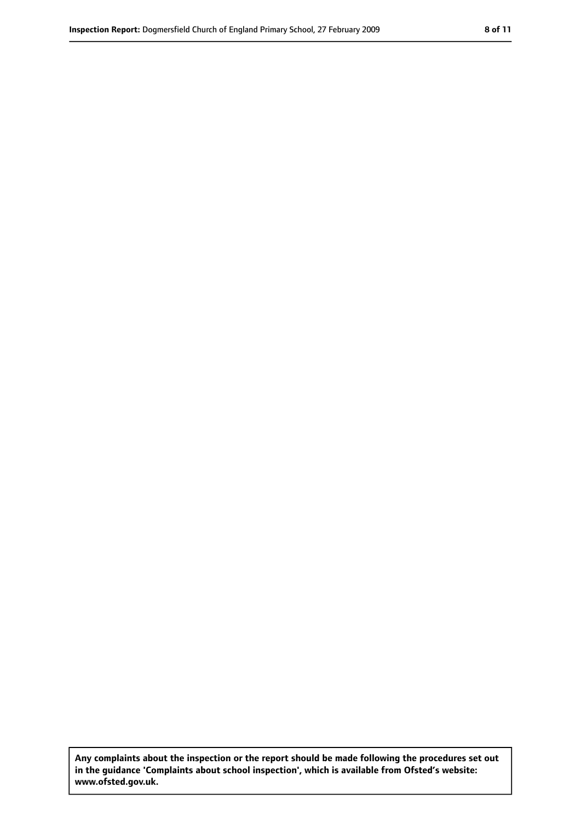**Any complaints about the inspection or the report should be made following the procedures set out in the guidance 'Complaints about school inspection', which is available from Ofsted's website: www.ofsted.gov.uk.**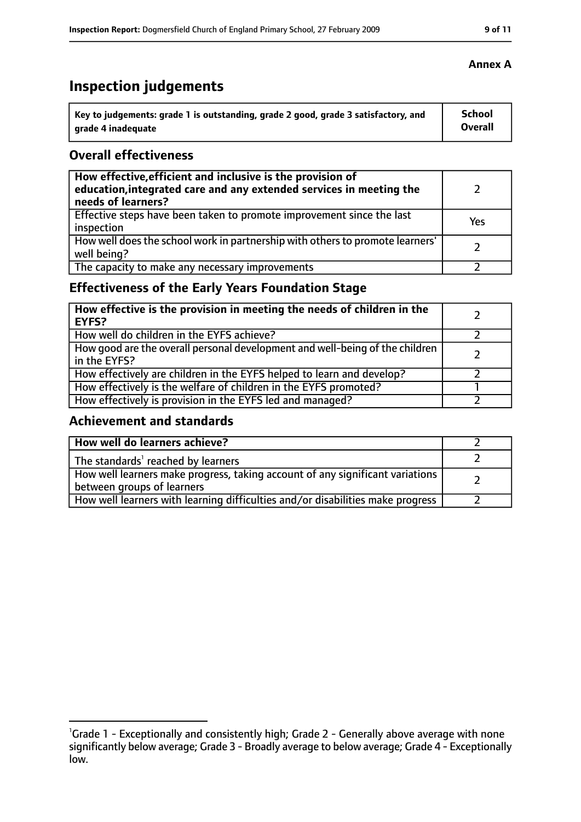## **Inspection judgements**

| \ Key to judgements: grade 1 is outstanding, grade 2 good, grade 3 satisfactory, and | <b>School</b>  |
|--------------------------------------------------------------------------------------|----------------|
| arade 4 inadequate                                                                   | <b>Overall</b> |

#### **Overall effectiveness**

| How effective, efficient and inclusive is the provision of<br>education, integrated care and any extended services in meeting the<br>needs of learners? |     |
|---------------------------------------------------------------------------------------------------------------------------------------------------------|-----|
| Effective steps have been taken to promote improvement since the last<br>inspection                                                                     | Yes |
| How well does the school work in partnership with others to promote learners'<br>well being?                                                            |     |
| The capacity to make any necessary improvements                                                                                                         |     |

## **Effectiveness of the Early Years Foundation Stage**

| How effective is the provision in meeting the needs of children in the<br>l EYFS?            |  |
|----------------------------------------------------------------------------------------------|--|
| How well do children in the EYFS achieve?                                                    |  |
| How good are the overall personal development and well-being of the children<br>in the EYFS? |  |
| How effectively are children in the EYFS helped to learn and develop?                        |  |
| How effectively is the welfare of children in the EYFS promoted?                             |  |
| How effectively is provision in the EYFS led and managed?                                    |  |

## **Achievement and standards**

| How well do learners achieve?                                                                               |  |
|-------------------------------------------------------------------------------------------------------------|--|
| The standards <sup>1</sup> reached by learners                                                              |  |
| How well learners make progress, taking account of any significant variations<br>between groups of learners |  |
| How well learners with learning difficulties and/or disabilities make progress                              |  |

## **Annex A**

<sup>&</sup>lt;sup>1</sup>Grade 1 - Exceptionally and consistently high; Grade 2 - Generally above average with none significantly below average; Grade 3 - Broadly average to below average; Grade 4 - Exceptionally low.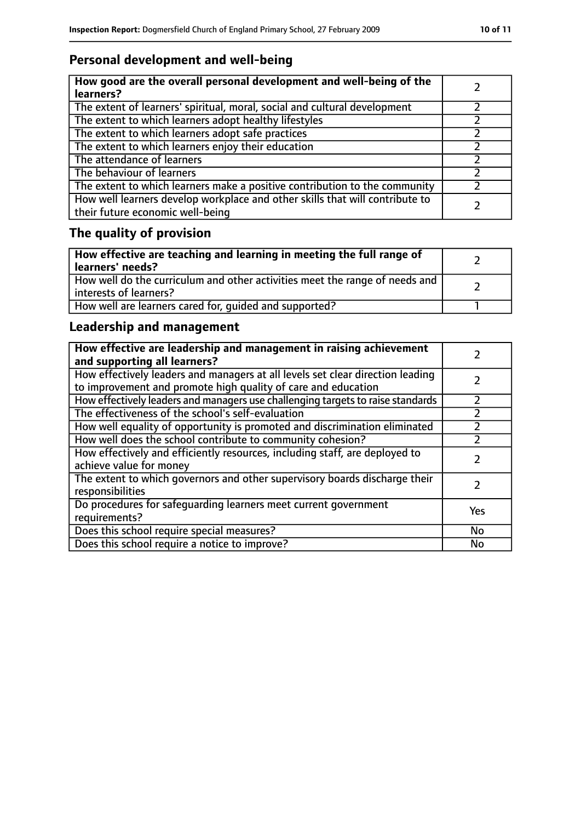## **Personal development and well-being**

| How good are the overall personal development and well-being of the<br>learners?                                 |  |
|------------------------------------------------------------------------------------------------------------------|--|
| The extent of learners' spiritual, moral, social and cultural development                                        |  |
| The extent to which learners adopt healthy lifestyles                                                            |  |
| The extent to which learners adopt safe practices                                                                |  |
| The extent to which learners enjoy their education                                                               |  |
| The attendance of learners                                                                                       |  |
| The behaviour of learners                                                                                        |  |
| The extent to which learners make a positive contribution to the community                                       |  |
| How well learners develop workplace and other skills that will contribute to<br>their future economic well-being |  |

## **The quality of provision**

| How effective are teaching and learning in meeting the full range of<br>learners' needs?              |  |
|-------------------------------------------------------------------------------------------------------|--|
| How well do the curriculum and other activities meet the range of needs and<br>interests of learners? |  |
| How well are learners cared for, quided and supported?                                                |  |

## **Leadership and management**

| How effective are leadership and management in raising achievement<br>and supporting all learners?                                              |     |
|-------------------------------------------------------------------------------------------------------------------------------------------------|-----|
| How effectively leaders and managers at all levels set clear direction leading<br>to improvement and promote high quality of care and education |     |
| How effectively leaders and managers use challenging targets to raise standards                                                                 |     |
| The effectiveness of the school's self-evaluation                                                                                               |     |
| How well equality of opportunity is promoted and discrimination eliminated                                                                      |     |
| How well does the school contribute to community cohesion?                                                                                      |     |
| How effectively and efficiently resources, including staff, are deployed to<br>achieve value for money                                          |     |
| The extent to which governors and other supervisory boards discharge their<br>responsibilities                                                  |     |
| Do procedures for safequarding learners meet current government<br>requirements?                                                                | Yes |
| Does this school require special measures?                                                                                                      | No  |
| Does this school require a notice to improve?                                                                                                   | No  |